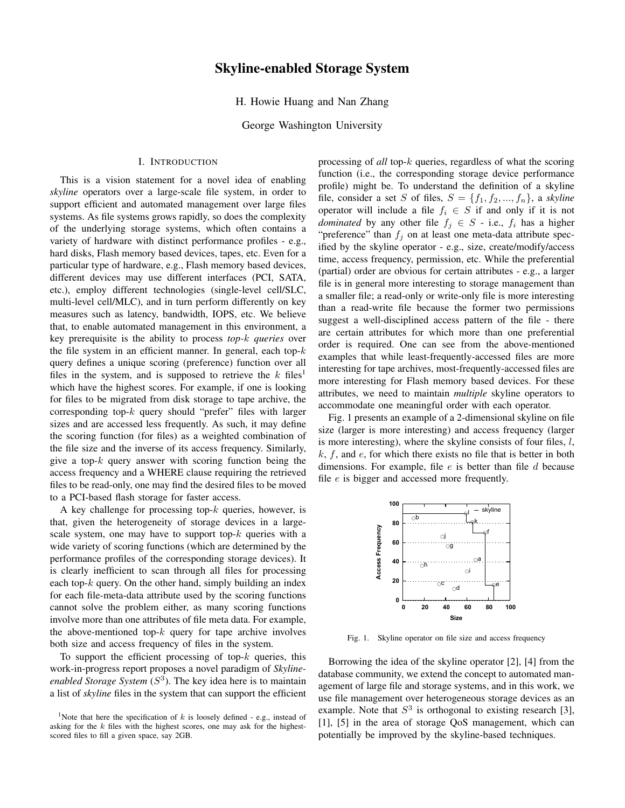# Skyline-enabled Storage System

H. Howie Huang and Nan Zhang

George Washington University

## I. INTRODUCTION

This is a vision statement for a novel idea of enabling *skyline* operators over a large-scale file system, in order to support efficient and automated management over large files systems. As file systems grows rapidly, so does the complexity of the underlying storage systems, which often contains a variety of hardware with distinct performance profiles - e.g., hard disks, Flash memory based devices, tapes, etc. Even for a particular type of hardware, e.g., Flash memory based devices, different devices may use different interfaces (PCI, SATA, etc.), employ different technologies (single-level cell/SLC, multi-level cell/MLC), and in turn perform differently on key measures such as latency, bandwidth, IOPS, etc. We believe that, to enable automated management in this environment, a key prerequisite is the ability to process *top-*k *queries* over the file system in an efficient manner. In general, each top- $k$ query defines a unique scoring (preference) function over all files in the system, and is supposed to retrieve the  $k$  files<sup>1</sup> which have the highest scores. For example, if one is looking for files to be migrated from disk storage to tape archive, the corresponding top- $k$  query should "prefer" files with larger sizes and are accessed less frequently. As such, it may define the scoring function (for files) as a weighted combination of the file size and the inverse of its access frequency. Similarly, give a top- $k$  query answer with scoring function being the access frequency and a WHERE clause requiring the retrieved files to be read-only, one may find the desired files to be moved to a PCI-based flash storage for faster access.

A key challenge for processing top- $k$  queries, however, is that, given the heterogeneity of storage devices in a largescale system, one may have to support top- $k$  queries with a wide variety of scoring functions (which are determined by the performance profiles of the corresponding storage devices). It is clearly inefficient to scan through all files for processing each top- $k$  query. On the other hand, simply building an index for each file-meta-data attribute used by the scoring functions cannot solve the problem either, as many scoring functions involve more than one attributes of file meta data. For example, the above-mentioned top- $k$  query for tape archive involves both size and access frequency of files in the system.

To support the efficient processing of top- $k$  queries, this work-in-progress report proposes a novel paradigm of *Skyline*enabled Storage System  $(S<sup>3</sup>)$ . The key idea here is to maintain a list of *skyline* files in the system that can support the efficient

processing of *all* top-k queries, regardless of what the scoring function (i.e., the corresponding storage device performance profile) might be. To understand the definition of a skyline file, consider a set S of files,  $S = \{f_1, f_2, ..., f_n\}$ , a *skyline* operator will include a file  $f_i \in S$  if and only if it is not *dominated* by any other file  $f_j \in S$  - i.e.,  $f_i$  has a higher "preference" than  $f_j$  on at least one meta-data attribute specified by the skyline operator - e.g., size, create/modify/access time, access frequency, permission, etc. While the preferential (partial) order are obvious for certain attributes - e.g., a larger file is in general more interesting to storage management than a smaller file; a read-only or write-only file is more interesting than a read-write file because the former two permissions suggest a well-disciplined access pattern of the file - there are certain attributes for which more than one preferential order is required. One can see from the above-mentioned examples that while least-frequently-accessed files are more interesting for tape archives, most-frequently-accessed files are more interesting for Flash memory based devices. For these attributes, we need to maintain *multiple* skyline operators to accommodate one meaningful order with each operator.

Fig. 1 presents an example of a 2-dimensional skyline on file size (larger is more interesting) and access frequency (larger is more interesting), where the skyline consists of four files,  $l$ ,  $k, f$ , and  $e$ , for which there exists no file that is better in both dimensions. For example, file  $e$  is better than file  $d$  because file e is bigger and accessed more frequently.



Fig. 1. Skyline operator on file size and access frequency

Borrowing the idea of the skyline operator [2], [4] from the database community, we extend the concept to automated management of large file and storage systems, and in this work, we use file management over heterogeneous storage devices as an example. Note that  $S<sup>3</sup>$  is orthogonal to existing research [3], [1], [5] in the area of storage QoS management, which can potentially be improved by the skyline-based techniques.

<sup>&</sup>lt;sup>1</sup>Note that here the specification of  $k$  is loosely defined - e.g., instead of asking for the  $k$  files with the highest scores, one may ask for the highestscored files to fill a given space, say 2GB.